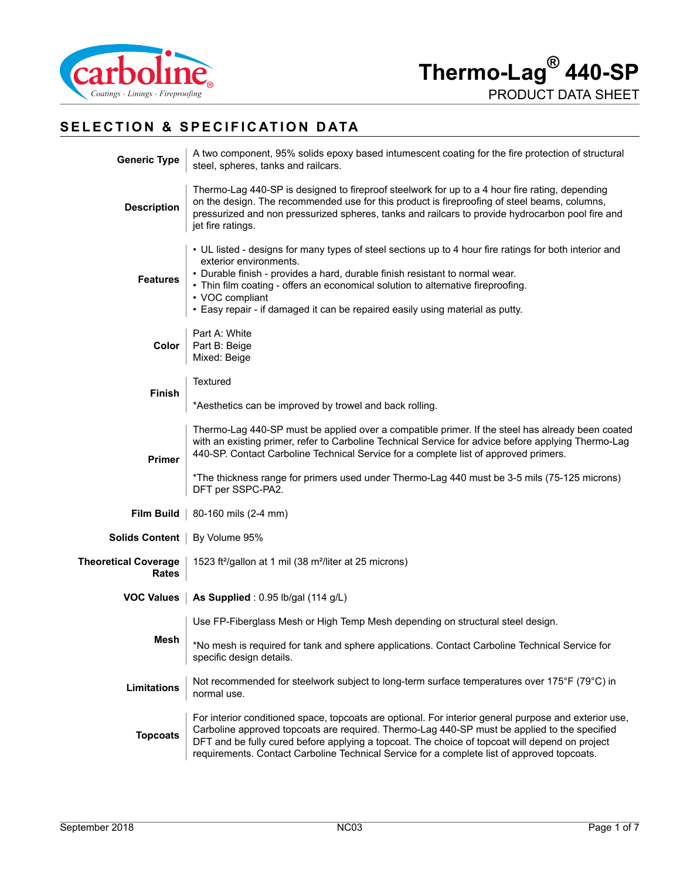



# **SELECTION & SPECIFICATION DATA**

| <b>Generic Type</b>                                                                                                                                                                                                                                                                                                                                                                                                       | A two component, 95% solids epoxy based intumescent coating for the fire protection of structural<br>steel, spheres, tanks and railcars.                                                                                                                                                                                                                                                                 |  |  |  |
|---------------------------------------------------------------------------------------------------------------------------------------------------------------------------------------------------------------------------------------------------------------------------------------------------------------------------------------------------------------------------------------------------------------------------|----------------------------------------------------------------------------------------------------------------------------------------------------------------------------------------------------------------------------------------------------------------------------------------------------------------------------------------------------------------------------------------------------------|--|--|--|
| <b>Description</b>                                                                                                                                                                                                                                                                                                                                                                                                        | Thermo-Lag 440-SP is designed to fireproof steelwork for up to a 4 hour fire rating, depending<br>on the design. The recommended use for this product is fireproofing of steel beams, columns,<br>pressurized and non pressurized spheres, tanks and railcars to provide hydrocarbon pool fire and<br>jet fire ratings.                                                                                  |  |  |  |
| <b>Features</b>                                                                                                                                                                                                                                                                                                                                                                                                           | • UL listed - designs for many types of steel sections up to 4 hour fire ratings for both interior and<br>exterior environments.<br>• Durable finish - provides a hard, durable finish resistant to normal wear.<br>• Thin film coating - offers an economical solution to alternative fireproofing.<br>• VOC compliant<br>• Easy repair - if damaged it can be repaired easily using material as putty. |  |  |  |
| Color                                                                                                                                                                                                                                                                                                                                                                                                                     | Part A: White<br>Part B: Beige<br>Mixed: Beige                                                                                                                                                                                                                                                                                                                                                           |  |  |  |
|                                                                                                                                                                                                                                                                                                                                                                                                                           | Textured                                                                                                                                                                                                                                                                                                                                                                                                 |  |  |  |
| Finish                                                                                                                                                                                                                                                                                                                                                                                                                    | *Aesthetics can be improved by trowel and back rolling.                                                                                                                                                                                                                                                                                                                                                  |  |  |  |
| <b>Primer</b>                                                                                                                                                                                                                                                                                                                                                                                                             | Thermo-Lag 440-SP must be applied over a compatible primer. If the steel has already been coated<br>with an existing primer, refer to Carboline Technical Service for advice before applying Thermo-Lag<br>440-SP. Contact Carboline Technical Service for a complete list of approved primers.                                                                                                          |  |  |  |
|                                                                                                                                                                                                                                                                                                                                                                                                                           | *The thickness range for primers used under Thermo-Lag 440 must be 3-5 mils (75-125 microns)<br>DFT per SSPC-PA2.                                                                                                                                                                                                                                                                                        |  |  |  |
|                                                                                                                                                                                                                                                                                                                                                                                                                           | <b>Film Build</b>   $80-160$ mils (2-4 mm)                                                                                                                                                                                                                                                                                                                                                               |  |  |  |
| <b>Solids Content</b>   By Volume 95%                                                                                                                                                                                                                                                                                                                                                                                     |                                                                                                                                                                                                                                                                                                                                                                                                          |  |  |  |
| <b>Theoretical Coverage</b><br>Rates                                                                                                                                                                                                                                                                                                                                                                                      | 1523 ft <sup>2</sup> /gallon at 1 mil (38 m <sup>2</sup> /liter at 25 microns)                                                                                                                                                                                                                                                                                                                           |  |  |  |
|                                                                                                                                                                                                                                                                                                                                                                                                                           | VOC Values   As Supplied : 0.95 lb/gal (114 g/L)                                                                                                                                                                                                                                                                                                                                                         |  |  |  |
|                                                                                                                                                                                                                                                                                                                                                                                                                           | Use FP-Fiberglass Mesh or High Temp Mesh depending on structural steel design.                                                                                                                                                                                                                                                                                                                           |  |  |  |
| Mesh                                                                                                                                                                                                                                                                                                                                                                                                                      | *No mesh is required for tank and sphere applications. Contact Carboline Technical Service for<br>specific design details.                                                                                                                                                                                                                                                                               |  |  |  |
| <b>Limitations</b>                                                                                                                                                                                                                                                                                                                                                                                                        | Not recommended for steelwork subject to long-term surface temperatures over 175°F (79°C) in<br>normal use.                                                                                                                                                                                                                                                                                              |  |  |  |
| For interior conditioned space, topcoats are optional. For interior general purpose and exterior use,<br>Carboline approved topcoats are required. Thermo-Lag 440-SP must be applied to the specified<br><b>Topcoats</b><br>DFT and be fully cured before applying a topcoat. The choice of topcoat will depend on project<br>requirements. Contact Carboline Technical Service for a complete list of approved topcoats. |                                                                                                                                                                                                                                                                                                                                                                                                          |  |  |  |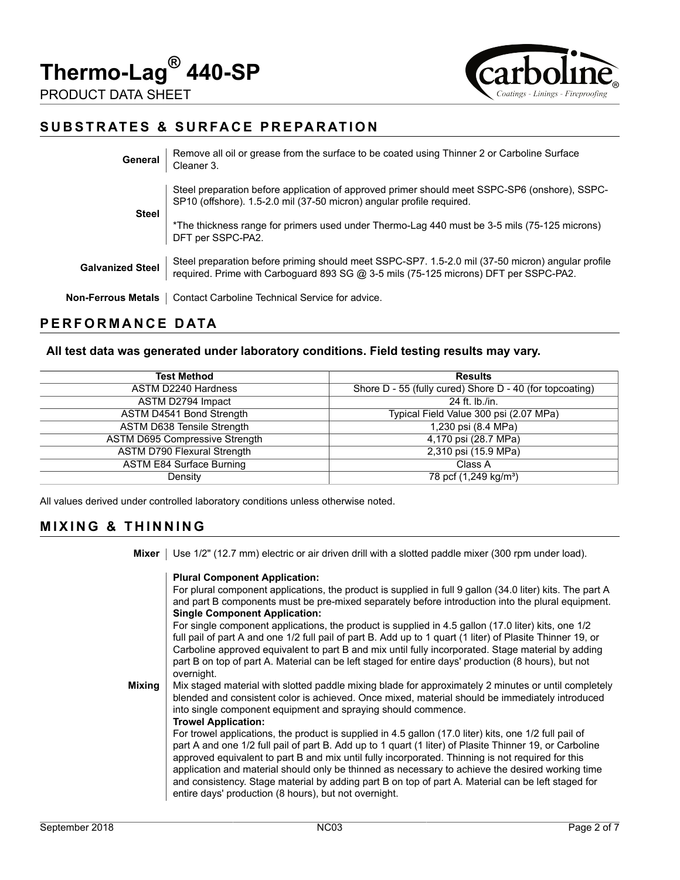





## **SUBSTRATES & SURFACE PREPARATION**

| General                                                                                                                                                                                                              | Remove all oil or grease from the surface to be coated using Thinner 2 or Carboline Surface<br>Cleaner 3.                                                              |
|----------------------------------------------------------------------------------------------------------------------------------------------------------------------------------------------------------------------|------------------------------------------------------------------------------------------------------------------------------------------------------------------------|
| <b>Steel</b>                                                                                                                                                                                                         | Steel preparation before application of approved primer should meet SSPC-SP6 (onshore), SSPC-<br>SP10 (offshore). 1.5-2.0 mil (37-50 micron) angular profile required. |
|                                                                                                                                                                                                                      | *The thickness range for primers used under Thermo-Lag 440 must be 3-5 mils (75-125 microns)<br>DFT per SSPC-PA2.                                                      |
| Steel preparation before priming should meet SSPC-SP7. 1.5-2.0 mil (37-50 micron) angular profile<br><b>Galvanized Steel</b><br>required. Prime with Carboguard 893 SG @ 3-5 mils (75-125 microns) DFT per SSPC-PA2. |                                                                                                                                                                        |
| Non-Ferrous Metals                                                                                                                                                                                                   | Contact Carboline Technical Service for advice.                                                                                                                        |

## **PERFORMANCE DATA**

### **All test data was generated under laboratory conditions. Field testing results may vary.**

| <b>Test Method</b>                    | <b>Results</b>                                           |
|---------------------------------------|----------------------------------------------------------|
| ASTM D2240 Hardness                   | Shore D - 55 (fully cured) Shore D - 40 (for topcoating) |
| ASTM D2794 Impact                     | 24 ft. lb./in.                                           |
| <b>ASTM D4541 Bond Strength</b>       | Typical Field Value 300 psi (2.07 MPa)                   |
| <b>ASTM D638 Tensile Strength</b>     | 1,230 psi (8.4 MPa)                                      |
| <b>ASTM D695 Compressive Strength</b> | 4,170 psi (28.7 MPa)                                     |
| <b>ASTM D790 Flexural Strength</b>    | 2,310 psi (15.9 MPa)                                     |
| <b>ASTM E84 Surface Burning</b>       | Class A                                                  |
| Density                               | 78 pcf (1,249 kg/m <sup>3</sup> )                        |

All values derived under controlled laboratory conditions unless otherwise noted.

## **MIXING & THINNING**

**Mixer** | Use 1/2" (12.7 mm) electric or air driven drill with a slotted paddle mixer (300 rpm under load).

#### **Plural Component Application:**

For plural component applications, the product is supplied in full 9 gallon (34.0 liter) kits. The part A and part B components must be pre-mixed separately before introduction into the plural equipment. **Single Component Application:** For single component applications, the product is supplied in 4.5 gallon (17.0 liter) kits, one 1/2 full pail of part A and one 1/2 full pail of part B. Add up to 1 quart (1 liter) of Plasite Thinner 19, or

Carboline approved equivalent to part B and mix until fully incorporated. Stage material by adding part B on top of part A. Material can be left staged for entire days' production (8 hours), but not overnight.

**Mixing** Mix staged material with slotted paddle mixing blade for approximately 2 minutes or until completely blended and consistent color is achieved. Once mixed, material should be immediately introduced into single component equipment and spraying should commence.

#### **Trowel Application:**

For trowel applications, the product is supplied in 4.5 gallon (17.0 liter) kits, one 1/2 full pail of part A and one 1/2 full pail of part B. Add up to 1 quart (1 liter) of Plasite Thinner 19, or Carboline approved equivalent to part B and mix until fully incorporated. Thinning is not required for this application and material should only be thinned as necessary to achieve the desired working time and consistency. Stage material by adding part B on top of part A. Material can be left staged for entire days' production (8 hours), but not overnight.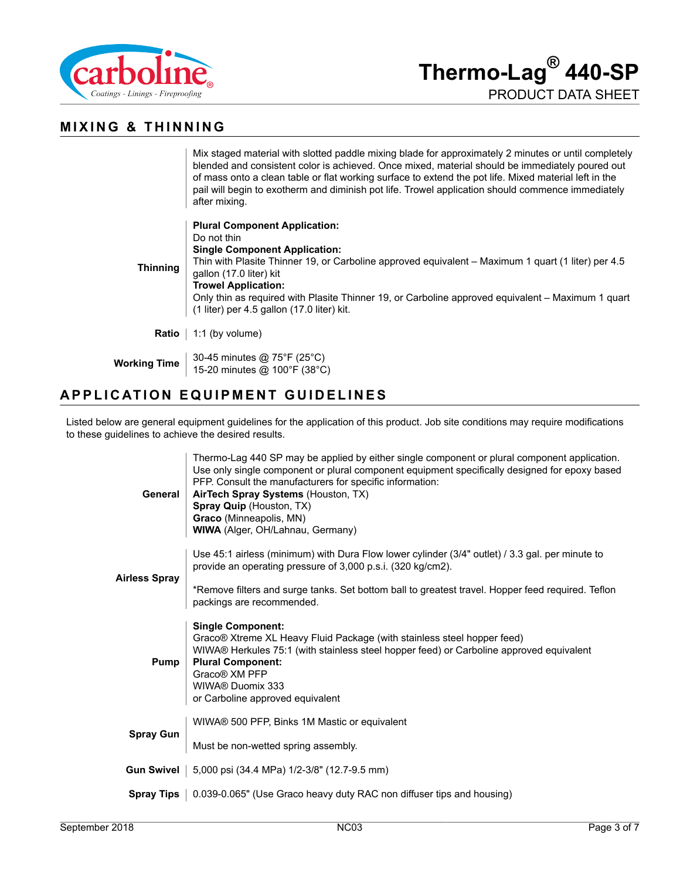



## **MIXING & THINNING**

Mix staged material with slotted paddle mixing blade for approximately 2 minutes or until completely blended and consistent color is achieved. Once mixed, material should be immediately poured out of mass onto a clean table or flat working surface to extend the pot life. Mixed material left in the pail will begin to exotherm and diminish pot life. Trowel application should commence immediately after mixing.

|                 | <b>Plural Component Application:</b>                                                               |
|-----------------|----------------------------------------------------------------------------------------------------|
|                 | Do not thin                                                                                        |
|                 | <b>Single Component Application:</b>                                                               |
| <b>Thinning</b> | Thin with Plasite Thinner 19, or Carboline approved equivalent – Maximum 1 quart (1 liter) per 4.5 |
|                 | gallon (17.0 liter) kit                                                                            |
|                 | <b>Trowel Application:</b>                                                                         |
|                 | Only thin as required with Plasite Thinner 19, or Carboline approved equivalent – Maximum 1 quart  |
|                 | (1 liter) per 4.5 gallon (17.0 liter) kit.                                                         |
| Ratio           | 1:1 (by volume)                                                                                    |
|                 |                                                                                                    |

**Working Time** 30-45 minutes @ 75°F (25°C)<br>15-20 minutes @ 100°F (38°C)

## **APPLICATION EQUIPMENT GUIDELINES**

Listed below are general equipment guidelines for the application of this product. Job site conditions may require modifications to these guidelines to achieve the desired results.

| General              | Thermo-Lag 440 SP may be applied by either single component or plural component application.<br>Use only single component or plural component equipment specifically designed for epoxy based<br>PFP. Consult the manufacturers for specific information:<br>AirTech Spray Systems (Houston, TX)<br>Spray Quip (Houston, TX)<br>Graco (Minneapolis, MN)<br>WIWA (Alger, OH/Lahnau, Germany) |
|----------------------|---------------------------------------------------------------------------------------------------------------------------------------------------------------------------------------------------------------------------------------------------------------------------------------------------------------------------------------------------------------------------------------------|
|                      | Use 45:1 airless (minimum) with Dura Flow lower cylinder (3/4" outlet) / 3.3 gal. per minute to<br>provide an operating pressure of 3,000 p.s.i. (320 kg/cm2).                                                                                                                                                                                                                              |
| <b>Airless Spray</b> | *Remove filters and surge tanks. Set bottom ball to greatest travel. Hopper feed required. Teflon<br>packings are recommended.                                                                                                                                                                                                                                                              |
| Pump                 | <b>Single Component:</b><br>Graco® Xtreme XL Heavy Fluid Package (with stainless steel hopper feed)<br>WIWA® Herkules 75:1 (with stainless steel hopper feed) or Carboline approved equivalent<br><b>Plural Component:</b><br>Graco® XM PFP<br>WIWA® Duomix 333<br>or Carboline approved equivalent                                                                                         |
| <b>Spray Gun</b>     | WIWA® 500 PFP, Binks 1M Mastic or equivalent                                                                                                                                                                                                                                                                                                                                                |
|                      | Must be non-wetted spring assembly.<br>Gun Swivel   5,000 psi (34.4 MPa) 1/2-3/8" (12.7-9.5 mm)                                                                                                                                                                                                                                                                                             |
|                      | <b>Spray Tips</b>   0.039-0.065" (Use Graco heavy duty RAC non diffuser tips and housing)                                                                                                                                                                                                                                                                                                   |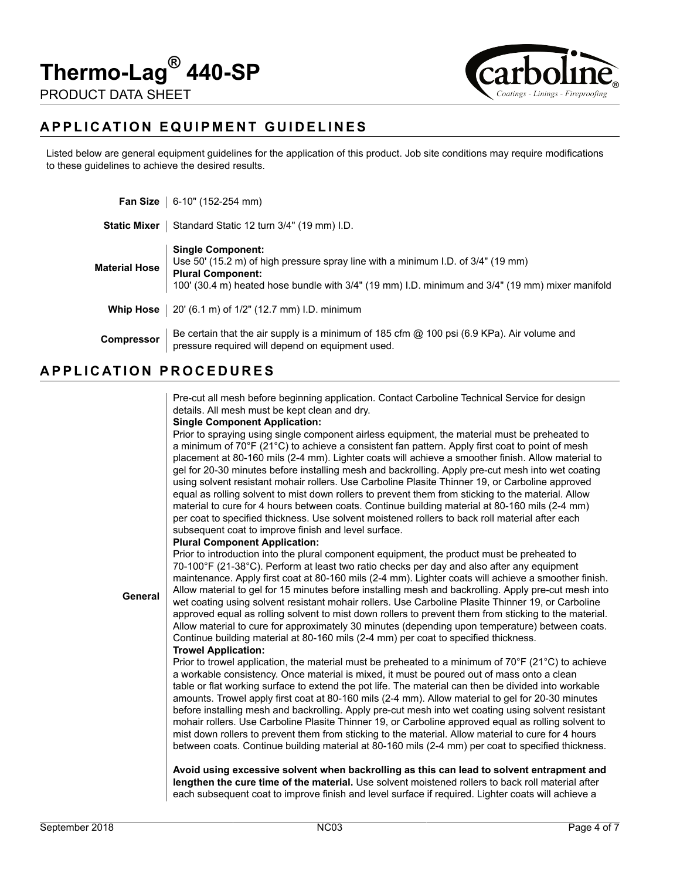

## **APPLICATION EQUIPMENT GUIDELINES**

Listed below are general equipment guidelines for the application of this product. Job site conditions may require modifications to these guidelines to achieve the desired results.

|                      | <b>Fan Size</b>   $6-10$ " (152-254 mm)                                                                                                                                                                                                        |
|----------------------|------------------------------------------------------------------------------------------------------------------------------------------------------------------------------------------------------------------------------------------------|
| <b>Static Mixer</b>  | Standard Static 12 turn 3/4" (19 mm) I.D.                                                                                                                                                                                                      |
| <b>Material Hose</b> | <b>Single Component:</b><br>Use 50' (15.2 m) of high pressure spray line with a minimum I.D. of $3/4$ " (19 mm)<br><b>Plural Component:</b><br>100' (30.4 m) heated hose bundle with 3/4" (19 mm) I.D. minimum and 3/4" (19 mm) mixer manifold |
|                      | <b>Whip Hose</b> $\vert$ 20' (6.1 m) of 1/2" (12.7 mm) I.D. minimum                                                                                                                                                                            |
| <b>Compressor</b>    | Be certain that the air supply is a minimum of 185 cfm $@$ 100 psi (6.9 KPa). Air volume and<br>pressure required will depend on equipment used.                                                                                               |
|                      |                                                                                                                                                                                                                                                |

## **APPLICATION PROCEDURES**

**General**

Pre-cut all mesh before beginning application. Contact Carboline Technical Service for design details. All mesh must be kept clean and dry.

#### **Single Component Application:**

Prior to spraying using single component airless equipment, the material must be preheated to a minimum of 70°F (21°C) to achieve a consistent fan pattern. Apply first coat to point of mesh placement at 80-160 mils (2-4 mm). Lighter coats will achieve a smoother finish. Allow material to gel for 20-30 minutes before installing mesh and backrolling. Apply pre-cut mesh into wet coating using solvent resistant mohair rollers. Use Carboline Plasite Thinner 19, or Carboline approved equal as rolling solvent to mist down rollers to prevent them from sticking to the material. Allow material to cure for 4 hours between coats. Continue building material at 80-160 mils (2-4 mm) per coat to specified thickness. Use solvent moistened rollers to back roll material after each subsequent coat to improve finish and level surface.

#### **Plural Component Application:**

Prior to introduction into the plural component equipment, the product must be preheated to 70-100°F (21-38°C). Perform at least two ratio checks per day and also after any equipment maintenance. Apply first coat at 80-160 mils (2-4 mm). Lighter coats will achieve a smoother finish. Allow material to gel for 15 minutes before installing mesh and backrolling. Apply pre-cut mesh into wet coating using solvent resistant mohair rollers. Use Carboline Plasite Thinner 19, or Carboline approved equal as rolling solvent to mist down rollers to prevent them from sticking to the material. Allow material to cure for approximately 30 minutes (depending upon temperature) between coats. Continue building material at 80-160 mils (2-4 mm) per coat to specified thickness. **Trowel Application:**

Prior to trowel application, the material must be preheated to a minimum of  $70^{\circ}$ F (21 $^{\circ}$ C) to achieve a workable consistency. Once material is mixed, it must be poured out of mass onto a clean table or flat working surface to extend the pot life. The material can then be divided into workable amounts. Trowel apply first coat at 80-160 mils (2-4 mm). Allow material to gel for 20-30 minutes before installing mesh and backrolling. Apply pre-cut mesh into wet coating using solvent resistant mohair rollers. Use Carboline Plasite Thinner 19, or Carboline approved equal as rolling solvent to mist down rollers to prevent them from sticking to the material. Allow material to cure for 4 hours between coats. Continue building material at 80-160 mils (2-4 mm) per coat to specified thickness.

**Avoid using excessive solvent when backrolling as this can lead to solvent entrapment and lengthen the cure time of the material.** Use solvent moistened rollers to back roll material after each subsequent coat to improve finish and level surface if required. Lighter coats will achieve a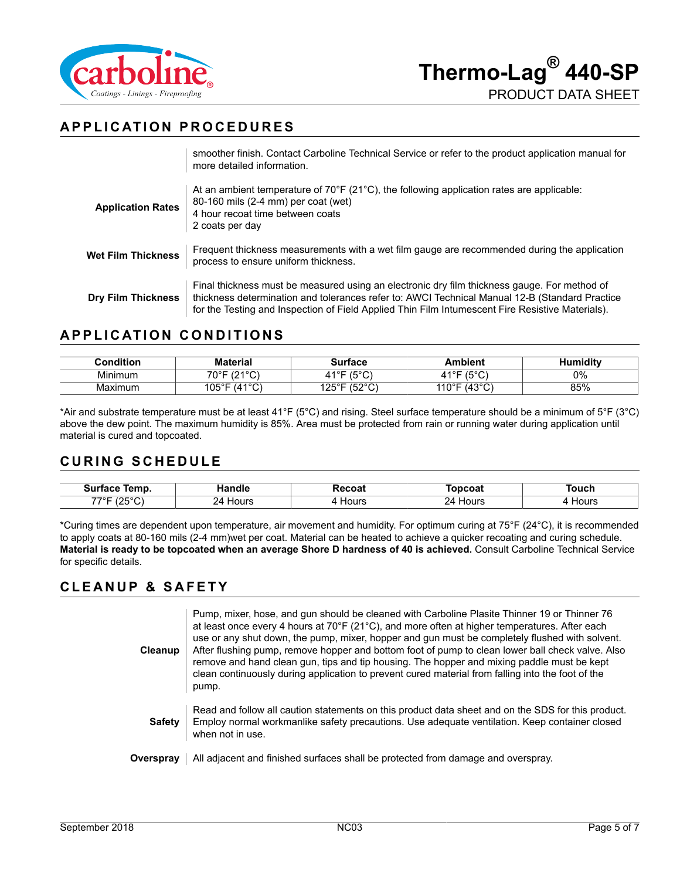



## **APPLICATION PROCEDURES**

|                           | smoother finish. Contact Carboline Technical Service or refer to the product application manual for<br>more detailed information.                                                                                                                                                                  |
|---------------------------|----------------------------------------------------------------------------------------------------------------------------------------------------------------------------------------------------------------------------------------------------------------------------------------------------|
| <b>Application Rates</b>  | At an ambient temperature of $70^{\circ}F(21^{\circ}C)$ , the following application rates are applicable:<br>80-160 mils (2-4 mm) per coat (wet)<br>4 hour recoat time between coats<br>2 coats per day                                                                                            |
| <b>Wet Film Thickness</b> | Frequent thickness measurements with a wet film gauge are recommended during the application<br>process to ensure uniform thickness.                                                                                                                                                               |
| <b>Dry Film Thickness</b> | Final thickness must be measured using an electronic dry film thickness gauge. For method of<br>thickness determination and tolerances refer to: AWCI Technical Manual 12-B (Standard Practice<br>for the Testing and Inspection of Field Applied Thin Film Intumescent Fire Resistive Materials). |

## **APPLICATION CONDITIONS**

| <b>∶ondition</b>    | ıterial                        | Surface                         | bient                      | ⊶umidit <u>y</u> |
|---------------------|--------------------------------|---------------------------------|----------------------------|------------------|
| $\cdots$<br>Minimum | (0.400)<br>ັ<br><u>.</u>       | 100 <sub>0</sub><br>ັ<br>◡      | $100^{\circ}$<br>40 F<br>ັ | 0%               |
| Maximum             | (41°C)<br>$105^{\circ}$ F<br>◡ | 1000<br>4つに○□<br>v<br>◡▵<br>، ۲ | (1200)<br>110°F<br>ັ       | 85%              |

\*Air and substrate temperature must be at least 41°F (5°C) and rising. Steel surface temperature should be a minimum of 5°F (3°C) above the dew point. The maximum humidity is 85%. Area must be protected from rain or running water during application until material is cured and topcoated.

## **CURING SCHEDULE**

| emp                        | uandia<br>ιаιε<br>ю |       | $-$              | ומווח   |
|----------------------------|---------------------|-------|------------------|---------|
| $\sim$<br>7705<br>ור<br>-- | 24<br>Hours<br>____ | 'ours | 2Δ<br>Hour:<br>. | ،،،،،۔۔ |

\*Curing times are dependent upon temperature, air movement and humidity. For optimum curing at 75°F (24°C), it is recommended to apply coats at 80-160 mils (2-4 mm)wet per coat. Material can be heated to achieve a quicker recoating and curing schedule. **Material is ready to be topcoated when an average Shore D hardness of 40 is achieved.** Consult Carboline Technical Service for specific details.

## **CLEANUP & SAFETY**

| <b>Cleanup</b> | Pump, mixer, hose, and gun should be cleaned with Carboline Plasite Thinner 19 or Thinner 76<br>at least once every 4 hours at 70°F (21°C), and more often at higher temperatures. After each<br>use or any shut down, the pump, mixer, hopper and gun must be completely flushed with solvent.<br>After flushing pump, remove hopper and bottom foot of pump to clean lower ball check valve. Also<br>remove and hand clean gun, tips and tip housing. The hopper and mixing paddle must be kept<br>clean continuously during application to prevent cured material from falling into the foot of the<br>pump. |
|----------------|-----------------------------------------------------------------------------------------------------------------------------------------------------------------------------------------------------------------------------------------------------------------------------------------------------------------------------------------------------------------------------------------------------------------------------------------------------------------------------------------------------------------------------------------------------------------------------------------------------------------|
| <b>Safety</b>  | Read and follow all caution statements on this product data sheet and on the SDS for this product.<br>Employ normal workmanlike safety precautions. Use adequate ventilation. Keep container closed<br>when not in use.                                                                                                                                                                                                                                                                                                                                                                                         |
| Overspray      | All adjacent and finished surfaces shall be protected from damage and overspray.                                                                                                                                                                                                                                                                                                                                                                                                                                                                                                                                |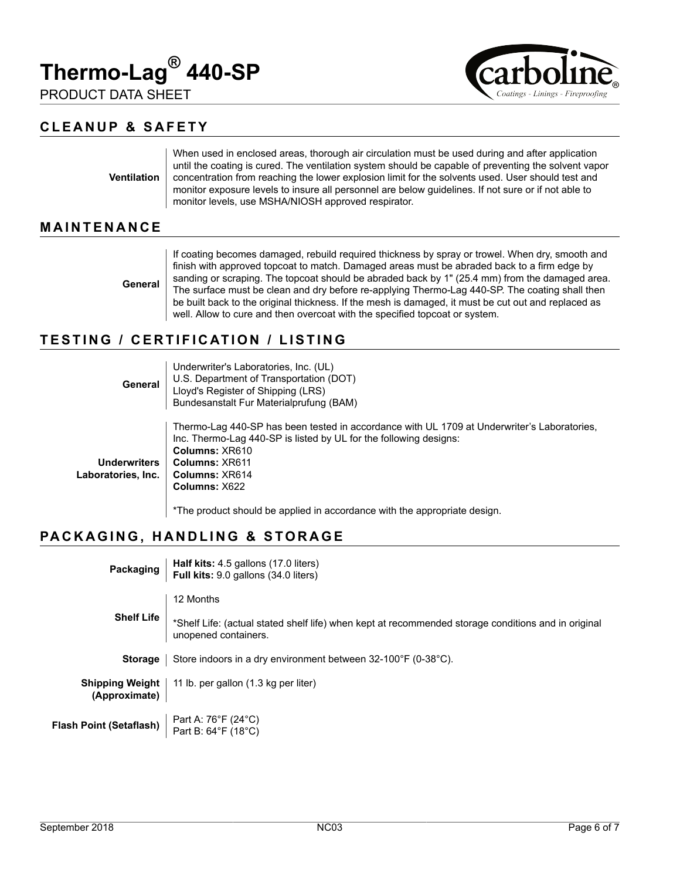

PRODUCT DATA SHEET

## **CLEANUP & SAFETY**

#### **Ventilation** When used in enclosed areas, thorough air circulation must be used during and after application until the coating is cured. The ventilation system should be capable of preventing the solvent vapor concentration from reaching the lower explosion limit for the solvents used. User should test and monitor exposure levels to insure all personnel are below guidelines. If not sure or if not able to monitor levels, use MSHA/NIOSH approved respirator.

## **MAINTENANCE**

**General** If coating becomes damaged, rebuild required thickness by spray or trowel. When dry, smooth and finish with approved topcoat to match. Damaged areas must be abraded back to a firm edge by sanding or scraping. The topcoat should be abraded back by 1" (25.4 mm) from the damaged area. The surface must be clean and dry before re-applying Thermo-Lag 440-SP. The coating shall then be built back to the original thickness. If the mesh is damaged, it must be cut out and replaced as well. Allow to cure and then overcoat with the specified topcoat or system.

## **TESTING / CERTIFICATION / LISTING**

| General                                   | Underwriter's Laboratories, Inc. (UL)<br>U.S. Department of Transportation (DOT)<br>Lloyd's Register of Shipping (LRS)<br>Bundesanstalt Fur Materialprufung (BAM)                                                                                                                                                    |
|-------------------------------------------|----------------------------------------------------------------------------------------------------------------------------------------------------------------------------------------------------------------------------------------------------------------------------------------------------------------------|
| <b>Underwriters</b><br>Laboratories, Inc. | Thermo-Lag 440-SP has been tested in accordance with UL 1709 at Underwriter's Laboratories,<br>Inc. Thermo-Lag 440-SP is listed by UL for the following designs:<br>Columns: XR610<br>Columns: XR611<br>Columns: XR614<br>Columns: X622<br>*The product should be applied in accordance with the appropriate design. |

## **PACKAGING, HANDLING & STORAGE**

| Packaging                                                                       | Half kits: 4.5 gallons (17.0 liters)<br>Full kits: 9.0 gallons (34.0 liters)                                                |  |  |
|---------------------------------------------------------------------------------|-----------------------------------------------------------------------------------------------------------------------------|--|--|
|                                                                                 | 12 Months                                                                                                                   |  |  |
| <b>Shelf Life</b>                                                               | *Shelf Life: (actual stated shelf life) when kept at recommended storage conditions and in original<br>unopened containers. |  |  |
| Store indoors in a dry environment between 32-100°F (0-38°C).<br><b>Storage</b> |                                                                                                                             |  |  |
| <b>Shipping Weight</b><br>(Approximate)                                         | 11 lb. per gallon (1.3 kg per liter)                                                                                        |  |  |
| Flash Point (Setaflash)                                                         | Part A: 76°F (24°C)<br>Part B: 64°F (18°C)                                                                                  |  |  |

Coatings - Linings - Fireproofing